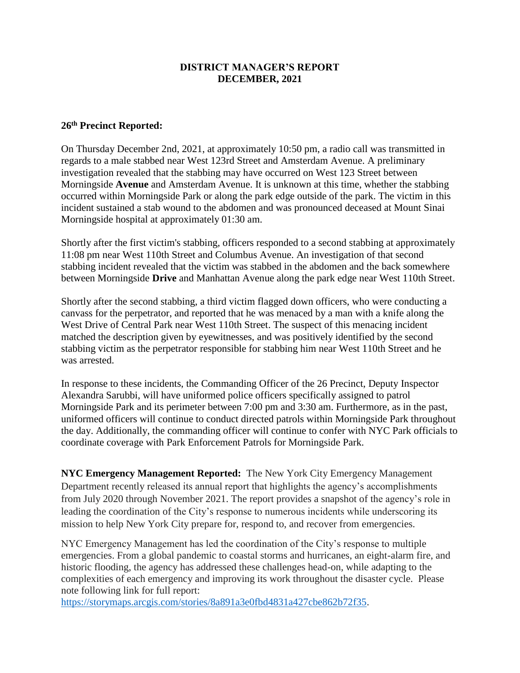# **DISTRICT MANAGER'S REPORT DECEMBER, 2021**

## **26th Precinct Reported:**

On Thursday December 2nd, 2021, at approximately 10:50 pm, a radio call was transmitted in regards to a male stabbed near West 123rd Street and Amsterdam Avenue. A preliminary investigation revealed that the stabbing may have occurred on West 123 Street between Morningside **Avenue** and Amsterdam Avenue. It is unknown at this time, whether the stabbing occurred within Morningside Park or along the park edge outside of the park. The victim in this incident sustained a stab wound to the abdomen and was pronounced deceased at Mount Sinai Morningside hospital at approximately 01:30 am.

Shortly after the first victim's stabbing, officers responded to a second stabbing at approximately 11:08 pm near West 110th Street and Columbus Avenue. An investigation of that second stabbing incident revealed that the victim was stabbed in the abdomen and the back somewhere between Morningside **Drive** and Manhattan Avenue along the park edge near West 110th Street.

Shortly after the second stabbing, a third victim flagged down officers, who were conducting a canvass for the perpetrator, and reported that he was menaced by a man with a knife along the West Drive of Central Park near West 110th Street. The suspect of this menacing incident matched the description given by eyewitnesses, and was positively identified by the second stabbing victim as the perpetrator responsible for stabbing him near West 110th Street and he was arrested.

In response to these incidents, the Commanding Officer of the 26 Precinct, Deputy Inspector Alexandra Sarubbi, will have uniformed police officers specifically assigned to patrol Morningside Park and its perimeter between 7:00 pm and 3:30 am. Furthermore, as in the past, uniformed officers will continue to conduct directed patrols within Morningside Park throughout the day. Additionally, the commanding officer will continue to confer with NYC Park officials to coordinate coverage with Park Enforcement Patrols for Morningside Park.

**NYC Emergency Management Reported:** The New York City Emergency Management Department recently released its annual report that highlights the agency's accomplishments from July 2020 through November 2021. The report provides a snapshot of the agency's role in leading the coordination of the City's response to numerous incidents while underscoring its mission to help New York City prepare for, respond to, and recover from emergencies.

NYC Emergency Management has led the coordination of the City's response to multiple emergencies. From a global pandemic to coastal storms and hurricanes, an eight-alarm fire, and historic flooding, the agency has addressed these challenges head-on, while adapting to the complexities of each emergency and improving its work throughout the disaster cycle. Please note following link for full report:

[https://storymaps.arcgis.com/stories/8a891a3e0fbd4831a427cbe862b72f35.](https://storymaps.arcgis.com/stories/8a891a3e0fbd4831a427cbe862b72f35)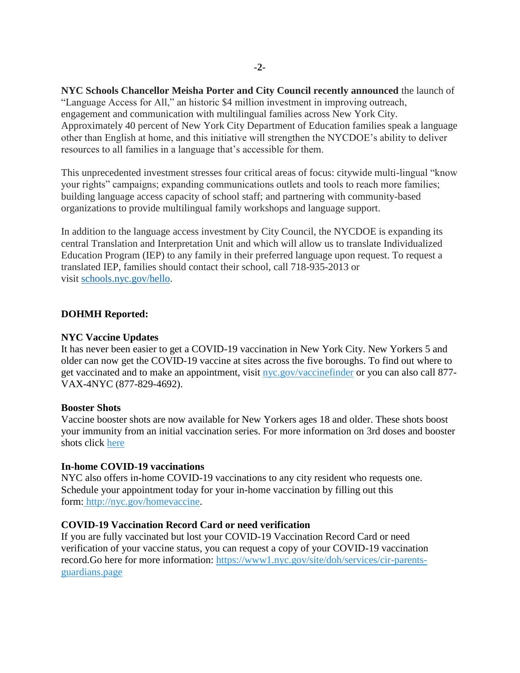**NYC Schools Chancellor Meisha Porter and City Council recently announced** the launch of "Language Access for All," an historic \$4 million investment in improving outreach, engagement and communication with multilingual families across New York City. Approximately 40 percent of New York City Department of Education families speak a language other than English at home, and this initiative will strengthen the NYCDOE's ability to deliver resources to all families in a language that's accessible for them.

This unprecedented investment stresses four critical areas of focus: citywide multi-lingual "know your rights" campaigns; expanding communications outlets and tools to reach more families; building language access capacity of school staff; and partnering with community-based organizations to provide multilingual family workshops and language support.

In addition to the language access investment by City Council, the NYCDOE is expanding its central Translation and Interpretation Unit and which will allow us to translate Individualized Education Program (IEP) to any family in their preferred language upon request. To request a translated IEP, families should contact their school, call 718-935-2013 or visit [schools.nyc.gov/hello.](http://schools.nyc.gov/hello)

## **DOHMH Reported:**

#### **NYC Vaccine Updates**

It has never been easier to get a COVID-19 vaccination in New York City. New Yorkers 5 and older can now get the COVID-19 vaccine at sites across the five boroughs. To find out where to get vaccinated and to make an appointment, visit [nyc.gov/vaccinefinder](https://click.everyaction.com/k/39315141/319276698/649887520?url=http%3A%2F%2Fnyc.gov%2Fvaccinefinder&data=04%7C01%7CPCaquias%40cityhall.nyc.gov%7C6fca5f568a234ff23cd708d99afd2631%7C35c828166c56443bbaf68312163cadc1%7C0%7C0%7C637711234331982284%7CUnknown%7CTWFpbGZsb3d8eyJWIjoiMC4wLjAwMDAiLCJQIjoiV2luMzIiLCJBTiI6Ik1haWwiLCJXVCI6Mn0%3D%7C1000&sdata=fbGdImIU%2B4ti5eOYZZDxhj%2BTS6Mw42EJtrX0HaXH32Q%3D&reserved=0&nvep=ew0KICAiVGVuYW50VXJpIjogIm5ncHZhbjovL3Zhbi9FQS9FQTAwNi8xLzg2OTc2IiwNCiAgIkRpc3RyaWJ1dGlvblVuaXF1ZUlkIjogIjUyNmFhN2QxLTZmNTQtZWMxMS05NGY2LTAwNTBmMmU2NWU5YiIsDQogICJFbWFpbEFkZHJlc3MiOiAiZXByaW5jZUBjYjltLm9yZyINCn0%3D&hmac=XujuHYY9vdWznysIQ5W9YW7-iNi7y8ErkhrLT1YgrGQ=&emci=85cf2dd7-3751-ec11-9820-c896653b26c8&emdi=526aa7d1-6f54-ec11-94f6-0050f2e65e9b&ceid=4284574) or you can also call 877-VAX-4NYC (877-829-4692).

### **Booster Shots**

Vaccine booster shots are now available for New Yorkers ages 18 and older. These shots boost your immunity from an initial vaccination series. For more information on 3rd doses and booster shots click [here](https://click.everyaction.com/k/39315144/319276700/-568331145?nvep=ew0KICAiVGVuYW50VXJpIjogIm5ncHZhbjovL3Zhbi9FQS9FQTAwNi8xLzg2OTc2IiwNCiAgIkRpc3RyaWJ1dGlvblVuaXF1ZUlkIjogIjUyNmFhN2QxLTZmNTQtZWMxMS05NGY2LTAwNTBmMmU2NWU5YiIsDQogICJFbWFpbEFkZHJlc3MiOiAiZXByaW5jZUBjYjltLm9yZyINCn0%3D&hmac=XujuHYY9vdWznysIQ5W9YW7-iNi7y8ErkhrLT1YgrGQ=&emci=85cf2dd7-3751-ec11-9820-c896653b26c8&emdi=526aa7d1-6f54-ec11-94f6-0050f2e65e9b&ceid=4284574)

### **In-home COVID-19 vaccinations**

NYC also offers in-home COVID-19 vaccinations to any city resident who requests one. Schedule your appointment today for your in-home vaccination by filling out this form: [http://nyc.gov/homevaccine.](https://click.everyaction.com/k/39315146/319276702/649887520?url=http%3A%2F%2Fnyc.gov%2Fhomevaccine&data=04%7C01%7CPCaquias%40cityhall.nyc.gov%7C6fca5f568a234ff23cd708d99afd2631%7C35c828166c56443bbaf68312163cadc1%7C0%7C0%7C637711234331992253%7CUnknown%7CTWFpbGZsb3d8eyJWIjoiMC4wLjAwMDAiLCJQIjoiV2luMzIiLCJBTiI6Ik1haWwiLCJXVCI6Mn0%3D%7C1000&sdata=sU0xjTbruyqP4rsFcjK3jRXBqIlb7KszP8tsDcNHYa0%3D&reserved=0&nvep=ew0KICAiVGVuYW50VXJpIjogIm5ncHZhbjovL3Zhbi9FQS9FQTAwNi8xLzg2OTc2IiwNCiAgIkRpc3RyaWJ1dGlvblVuaXF1ZUlkIjogIjUyNmFhN2QxLTZmNTQtZWMxMS05NGY2LTAwNTBmMmU2NWU5YiIsDQogICJFbWFpbEFkZHJlc3MiOiAiZXByaW5jZUBjYjltLm9yZyINCn0%3D&hmac=XujuHYY9vdWznysIQ5W9YW7-iNi7y8ErkhrLT1YgrGQ=&emci=85cf2dd7-3751-ec11-9820-c896653b26c8&emdi=526aa7d1-6f54-ec11-94f6-0050f2e65e9b&ceid=4284574)

# **COVID-19 Vaccination Record Card or need verification**

If you are fully vaccinated but lost your COVID-19 Vaccination Record Card or need verification of your vaccine status, you can request a copy of your COVID-19 vaccination record.Go here for more information: [https://www1.nyc.gov/site/doh/services/cir-parents](https://click.everyaction.com/k/39315147/319276704/649887520?url=https%3A%2F%2Fwww1.nyc.gov%2Fsite%2Fdoh%2Fservices%2Fcir-parents-guardians.page&data=04%7C01%7CPCaquias%40cityhall.nyc.gov%7C6fca5f568a234ff23cd708d99afd2631%7C35c828166c56443bbaf68312163cadc1%7C0%7C0%7C637711234332002198%7CUnknown%7CTWFpbGZsb3d8eyJWIjoiMC4wLjAwMDAiLCJQIjoiV2luMzIiLCJBTiI6Ik1haWwiLCJXVCI6Mn0%3D%7C1000&sdata=H%2Fe4QIKphBtkxveyHwM98BLBpgDRWtWa0D4b0IEiU4k%3D&reserved=0&nvep=ew0KICAiVGVuYW50VXJpIjogIm5ncHZhbjovL3Zhbi9FQS9FQTAwNi8xLzg2OTc2IiwNCiAgIkRpc3RyaWJ1dGlvblVuaXF1ZUlkIjogIjUyNmFhN2QxLTZmNTQtZWMxMS05NGY2LTAwNTBmMmU2NWU5YiIsDQogICJFbWFpbEFkZHJlc3MiOiAiZXByaW5jZUBjYjltLm9yZyINCn0%3D&hmac=XujuHYY9vdWznysIQ5W9YW7-iNi7y8ErkhrLT1YgrGQ=&emci=85cf2dd7-3751-ec11-9820-c896653b26c8&emdi=526aa7d1-6f54-ec11-94f6-0050f2e65e9b&ceid=4284574)[guardians.page](https://click.everyaction.com/k/39315147/319276704/649887520?url=https%3A%2F%2Fwww1.nyc.gov%2Fsite%2Fdoh%2Fservices%2Fcir-parents-guardians.page&data=04%7C01%7CPCaquias%40cityhall.nyc.gov%7C6fca5f568a234ff23cd708d99afd2631%7C35c828166c56443bbaf68312163cadc1%7C0%7C0%7C637711234332002198%7CUnknown%7CTWFpbGZsb3d8eyJWIjoiMC4wLjAwMDAiLCJQIjoiV2luMzIiLCJBTiI6Ik1haWwiLCJXVCI6Mn0%3D%7C1000&sdata=H%2Fe4QIKphBtkxveyHwM98BLBpgDRWtWa0D4b0IEiU4k%3D&reserved=0&nvep=ew0KICAiVGVuYW50VXJpIjogIm5ncHZhbjovL3Zhbi9FQS9FQTAwNi8xLzg2OTc2IiwNCiAgIkRpc3RyaWJ1dGlvblVuaXF1ZUlkIjogIjUyNmFhN2QxLTZmNTQtZWMxMS05NGY2LTAwNTBmMmU2NWU5YiIsDQogICJFbWFpbEFkZHJlc3MiOiAiZXByaW5jZUBjYjltLm9yZyINCn0%3D&hmac=XujuHYY9vdWznysIQ5W9YW7-iNi7y8ErkhrLT1YgrGQ=&emci=85cf2dd7-3751-ec11-9820-c896653b26c8&emdi=526aa7d1-6f54-ec11-94f6-0050f2e65e9b&ceid=4284574)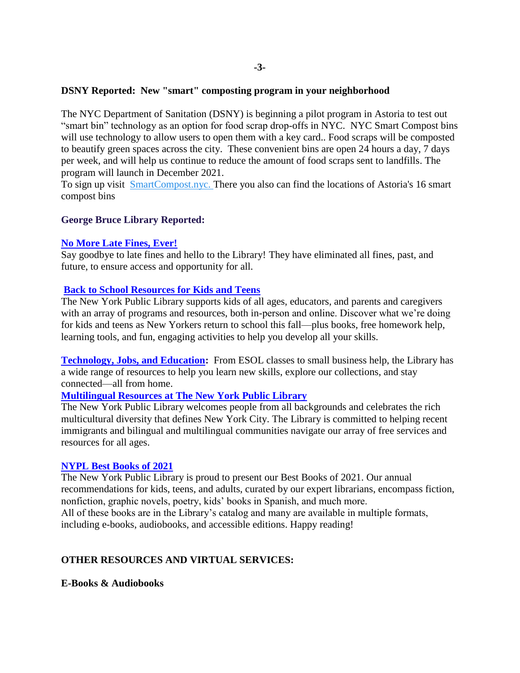## **DSNY Reported: New "smart" composting program in your neighborhood**

The NYC Department of Sanitation (DSNY) is beginning a pilot program in Astoria to test out "smart bin" technology as an option for food scrap drop-offs in NYC. NYC Smart Compost bins will use technology to allow users to open them with a key card.. Food scraps will be composted to beautify green spaces across the city. These convenient bins are open 24 hours a day, 7 days per week, and will help us continue to reduce the amount of food scraps sent to landfills. The program will launch in December 2021.

To sign up visit [SmartCompost.nyc.](https://click.everyaction.com/k/39315148/319276705/649887520?url=http%3A%2F%2Fclick.notifications.dsny.nyc.gov%2F%3Fqs%3Dc6152a085c2dd6fb4d4dee0df3e41ad9446b4e19d7ed91334f7762ff68ba3e0a62012927430c8dba67f2333ff4aa4129863e7f7a9455a152&data=04%7C01%7CEJackson%40cityhall.nyc.gov%7C3797d2101dff40daecc708d9b5cf037a%7C35c828166c56443bbaf68312163cadc1%7C0%7C0%7C637740722980499181%7CUnknown%7CTWFpbGZsb3d8eyJWIjoiMC4wLjAwMDAiLCJQIjoiV2luMzIiLCJBTiI6Ik1haWwiLCJXVCI6Mn0%3D%7C3000&sdata=a8BPCP2F12DNZ9AY1d8pp5JdAiM1AyYSHxowVEuIR98%3D&reserved=0&nvep=ew0KICAiVGVuYW50VXJpIjogIm5ncHZhbjovL3Zhbi9FQS9FQTAwNi8xLzg2OTc2IiwNCiAgIkRpc3RyaWJ1dGlvblVuaXF1ZUlkIjogIjUyNmFhN2QxLTZmNTQtZWMxMS05NGY2LTAwNTBmMmU2NWU5YiIsDQogICJFbWFpbEFkZHJlc3MiOiAiZXByaW5jZUBjYjltLm9yZyINCn0%3D&hmac=XujuHYY9vdWznysIQ5W9YW7-iNi7y8ErkhrLT1YgrGQ=&emci=85cf2dd7-3751-ec11-9820-c896653b26c8&emdi=526aa7d1-6f54-ec11-94f6-0050f2e65e9b&ceid=4284574) There you also can find the locations of Astoria's 16 smart compost bins

## **George Bruce Library Reported:**

### **[No More Late Fines, Ever!](https://www.nypl.org/spotlight/fines)**

Say goodbye to late fines and hello to the Library! They have eliminated all fines, past, and future, to ensure access and opportunity for all.

## **[Back to School Resources for Kids and Teens](https://www.nypl.org/remote-learning-resources)**

The New York Public Library supports kids of all ages, educators, and parents and caregivers with an array of programs and resources, both in-person and online. Discover what we're doing for kids and teens as New Yorkers return to school this fall—plus books, free homework help, learning tools, and fun, engaging activities to help you develop all your skills.

**[Technology, Jobs, and Education:](https://www.nypl.org/education/adults)** From ESOL classes to small business help, the Library has a wide range of resources to help you learn new skills, explore our collections, and stay connected—all from home.

## **[Multilingual Resources at The New York Public Library](https://www.nypl.org/spotlight/multilingual)**

The New York Public Library welcomes people from all backgrounds and celebrates the rich multicultural diversity that defines New York City. The Library is committed to helping recent immigrants and bilingual and multilingual communities navigate our array of free services and resources for all ages.

### **[NYPL Best Books of 2021](https://www.nypl.org/spotlight/best-books-2021)**

The New York Public Library is proud to present our Best Books of 2021. Our annual recommendations for kids, teens, and adults, curated by our expert librarians, encompass fiction, nonfiction, graphic novels, poetry, kids' books in Spanish, and much more. All of these books are in the Library's catalog and many are available in multiple formats, including e-books, audiobooks, and accessible editions. Happy reading!

## **OTHER RESOURCES AND VIRTUAL SERVICES:**

**E-Books & Audiobooks**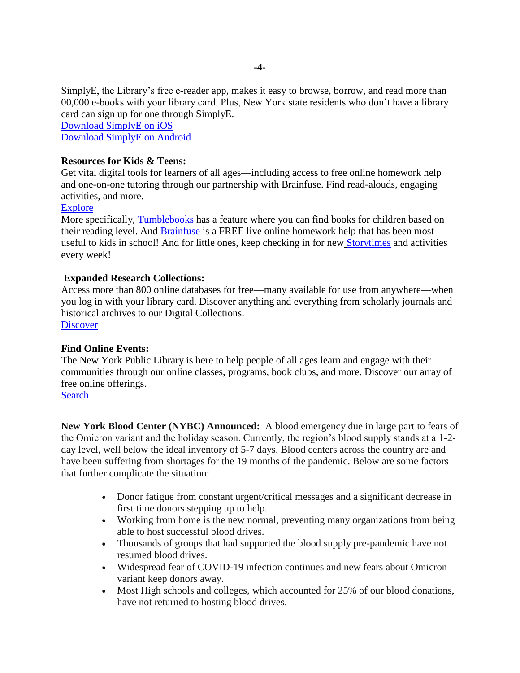SimplyE, the Library's free e-reader app, makes it easy to browse, borrow, and read more than 00,000 e-books with your library card. Plus, New York state residents who don't have a library card can sign up for one through SimplyE.

[Download SimplyE on iOS](https://apps.apple.com/app/apple-store/id1046583900?utm_campaign=NYPLConnect&utm_content=NYPLConnect_20200818&utm_medium=email&utm_source=eNewsletter) [Download SimplyE on Android](https://play.google.com/store/apps/details?id=org.nypl.simplified.simplye&utm_source%3DeNewsletter&utm_medium%3Demail&utm_campaign%3DNYPLConnect)

# **Resources for Kids & Teens:**

Get vital digital tools for learners of all ages—including access to free online homework help and one-on-one tutoring through our partnership with Brainfuse. Find read-alouds, engaging activities, and more.

## **[Explore](https://www.nypl.org/about/remote-resources/kids-and-teens?utm_source=eNewsletter&utm_medium=email&utm_content=NYPLConnect_20200818&utm_campaign=NYPLConnect)**

More specifically, [Tumblebooks](https://www.nypl.org/collections/articles-databases/tumblebooks) has a feature where you can find books for children based on their reading level. And [Brainfuse](https://www.nypl.org/about/remote-resources/kids-and-teens/homework-help-brainfuse) is a FREE live online homework help that has been most useful to kids in school! And for little ones, keep checking in for new [Storytimes](https://www.nypl.org/education/kids/storytime) and activities every week!

## **Expanded Research Collections:**

Access more than 800 online databases for free—many available for use from anywhere—when you log in with your library card. Discover anything and everything from scholarly journals and historical archives to our Digital Collections. **[Discover](https://www.nypl.org/about/remote-research-resources?utm_source=eNewsletter&utm_medium=email&utm_content=NYPLConnect_20200818&utm_campaign=NYPLConnect)** 

## **Find Online Events:**

The New York Public Library is here to help people of all ages learn and engage with their communities through our online classes, programs, book clubs, and more. Discover our array of free online offerings.

# [Search](https://www.nypl.org/events/calendar/online?utm_source=eNewsletter&utm_medium=email&utm_content=NYPLConnect_20200818&utm_campaign=NYPLConnect)

**New York Blood Center (NYBC) Announced:** A blood emergency due in large part to fears of the Omicron variant and the holiday season. Currently, the region's blood supply stands at a 1-2 day level, well below the ideal inventory of 5-7 days. Blood centers across the country are and have been suffering from shortages for the 19 months of the pandemic. Below are some factors that further complicate the situation:

- Donor fatigue from constant urgent/critical messages and a significant decrease in first time donors stepping up to help.
- Working from home is the new normal, preventing many organizations from being able to host successful blood drives.
- Thousands of groups that had supported the blood supply pre-pandemic have not resumed blood drives.
- Widespread fear of COVID-19 infection continues and new fears about Omicron variant keep donors away.
- Most High schools and colleges, which accounted for 25% of our blood donations, have not returned to hosting blood drives.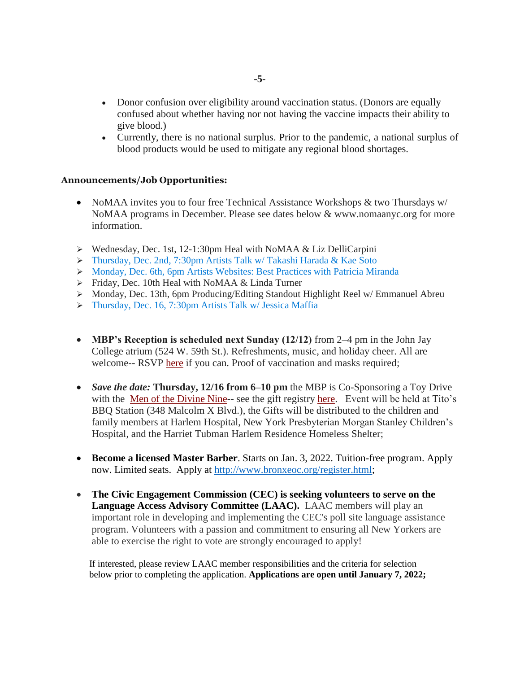- Donor confusion over eligibility around vaccination status. (Donors are equally confused about whether having nor not having the vaccine impacts their ability to give blood.)
- Currently, there is no national surplus. Prior to the pandemic, a national surplus of blood products would be used to mitigate any regional blood shortages.

## **Announcements/Job Opportunities:**

- NoMAA invites you to four free Technical Assistance Workshops & two Thursdays w/ NoMAA programs in December. Please see dates below & www.nomaanyc.org for more information.
- Wednesday, Dec. 1st, 12-1:30pm Heal with NoMAA & Liz DelliCarpini
- Thursday, Dec. 2nd, 7:30pm Artists Talk w/ Takashi Harada & Kae Soto
- Monday, Dec. 6th, 6pm Artists Websites: Best Practices with Patricia Miranda
- $\triangleright$  Friday, Dec. 10th Heal with NoMAA & Linda Turner
- Monday, Dec. 13th, 6pm Producing/Editing Standout Highlight Reel w/ Emmanuel Abreu
- Thursday, Dec. 16, 7:30pm Artists Talk w/ Jessica Maffia
- **MBP's Reception is scheduled next Sunday (12/12)** from 2–4 pm in the John Jay College atrium (524 W. 59th St.). Refreshments, music, and holiday cheer. All are welcome-- RSVP [here](https://nyc.us11.list-manage.com/track/click?u=bf27f3da34498cc55bd5e1da4&id=ec7274b7e6&e=17cefa4866) if you can. Proof of vaccination and masks required;
- *Save the date:* **Thursday, 12/16 from 6–10 pm** the MBP is Co-Sponsoring a Toy Drive with the [Men of the Divine Nine-](https://nyc.us11.list-manage.com/track/click?u=bf27f3da34498cc55bd5e1da4&id=55dc6f9bda&e=17cefa4866)- see the gift registry [here.](https://nyc.us11.list-manage.com/track/click?u=bf27f3da34498cc55bd5e1da4&id=80f2333002&e=17cefa4866) Event will be held at Tito's BBQ Station (348 Malcolm X Blvd.), the Gifts will be distributed to the children and family members at Harlem Hospital, New York Presbyterian Morgan Stanley Children's Hospital, and the Harriet Tubman Harlem Residence Homeless Shelter;
- **Become a licensed Master Barber**. Starts on Jan. 3, 2022. Tuition-free program. Apply now. Limited seats. Apply at [http://www.bronxeoc.org/register.html;](http://www.bronxeoc.org/register.html)
- **The Civic Engagement Commission (CEC) is seeking volunteers to serve on the Language Access Advisory Committee (LAAC).** LAAC members will play an important role in developing and implementing the CEC's poll site language assistance program. Volunteers with a passion and commitment to ensuring all New Yorkers are able to exercise the right to vote are strongly encouraged to apply!

 If interested, please review LAAC member responsibilities and the criteria for selection below prior to completing the application. **Applications are open until January 7, 2022;**